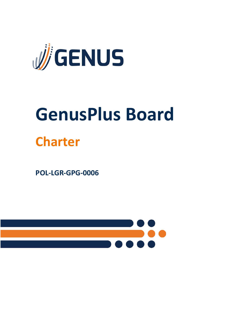

# **GenusPlus Board Charter**

**POL-LGR-GPG-0006**

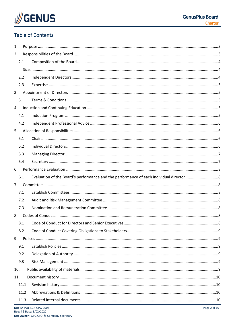

## **Table of Contents**

| 1.  |      |                          |                  |  |
|-----|------|--------------------------|------------------|--|
| 2.  |      |                          |                  |  |
|     | 2.1  |                          |                  |  |
|     |      |                          |                  |  |
|     | 2.2  |                          |                  |  |
|     | 2.3  |                          |                  |  |
| 3.  |      |                          |                  |  |
|     | 3.1  |                          |                  |  |
| 4.  |      |                          |                  |  |
|     | 4.1  |                          |                  |  |
|     | 4.2  |                          |                  |  |
| 5.  |      |                          |                  |  |
|     | 5.1  |                          |                  |  |
|     | 5.2  |                          |                  |  |
|     | 5.3  |                          |                  |  |
|     | 5.4  |                          |                  |  |
| 6.  |      |                          |                  |  |
|     | 6.1  |                          |                  |  |
| 7.  |      |                          |                  |  |
|     | 7.1  |                          |                  |  |
|     | 7.2  |                          |                  |  |
|     | 7.3  |                          |                  |  |
| 8.  |      |                          |                  |  |
|     | 8.1  |                          |                  |  |
|     | 8.2  |                          |                  |  |
| 9.  |      |                          |                  |  |
|     | 9.1  |                          |                  |  |
|     | 9.2  |                          |                  |  |
|     | 9.3  |                          |                  |  |
| 10. |      |                          |                  |  |
| 11. |      |                          |                  |  |
|     | 11.1 |                          |                  |  |
|     | 11.2 |                          |                  |  |
|     | 11.3 |                          |                  |  |
|     |      | Doc ID: POL-LGR-GPG-0006 | Page $2$ of $10$ |  |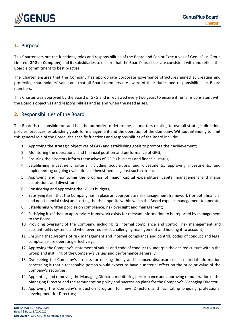

## <span id="page-2-0"></span>**1.** Purpose

This Charter sets out the functions, roles and responsibilities of the Board and Senior Executives of GenusPlus Group Limited (**GPG** or **Company)** and its subsidiaries to ensure that the Board's practices are consistent with and reflect the Board's commitment to best practise.

The Charter ensures that the Company has appropriate corporate governance structures aimed at creating and protecting shareholders' value and that all Board members are aware of their duties and responsibilities as Board members.

This Charter was approved by the Board of GPG and is reviewed every two years to ensure it remains consistent with the Board's objectives and responsibilities and as and when the need arises.

## <span id="page-2-1"></span>**2.** Responsibilities of the Board

The Board is responsible for, and has the authority to determine, all matters relating to overall strategic direction, policies, practices, establishing goals for management and the operation of the Company. Without intending to limit this general role of the Board, the specific functions and responsibilities of the Board include:

- 1. Approving the strategic objectives of GPG and establishing goals to promote their achievement;
- 2. Monitoring the operational and financial position and performance of GPG;
- 3. Ensuring the directors inform themselves of GPG's business and financial status;
- 4. Establishing investment criteria including acquisitions and divestments, approving investments, and implementing ongoing evaluations of investments against such criteria;
- 5. Approving and monitoring the progress of major capital expenditure, capital management and major acquisitions and divestitures;
- 6. Considering and approving the GPG's budgets;
- 7. Satisfying itself that the Company has in place an appropriate risk management framework (for both financial and non-financial risks) and setting the risk appetite within which the Board expects management to operate;
- 8. Establishing written policies on compliance, risk oversight and management;
- 9. Satisfying itself that an appropriate framework exists for relevant information to be reported by management to the Board;
- 10. Providing oversight of the Company, including its internal compliance and control, risk management and accountability systems and whenever required, challenging management and holding it to account;
- 11. Ensuring that systems of risk management and internal compliance and control, codes of conduct and legal compliance are operating effectively;
- 12. Approving the Company's statement of values and code of conduct to underpin the desired culture within the Group and instilling of the Company's values and performance generally;
- 13. Overseeing the Company's process for making timely and balanced disclosure of all material information concerning it that a reasonable person would expect to have a material effect on the price or value of the Company's securities;
- 14. Appointing and removing the Managing Director, monitoring performance and approving remuneration of the Managing Director and the remuneration policy and succession plans for the Company's Managing Director;
- 15. Approving the Company's induction program for new Directors and facilitating ongoing professional development for Directors;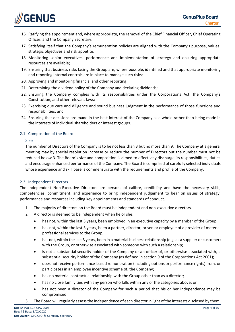

- 16. Ratifying the appointment and, where appropriate, the removal of the Chief Financial Officer, Chief Operating Officer, and the Company Secretary;
- 17. Satisfying itself that the Company's remuneration policies are aligned with the Company's purpose, values, strategic objectives and risk appetite;
- 18. Monitoring senior executives' performance and implementation of strategy and ensuring appropriate resources are available;
- 19. Ensuring that business risks facing the Group are, where possible, identified and that appropriate monitoring and reporting internal controls are in place to manage such risks;
- 20. Approving and monitoring financial and other reporting;
- 21. Determining the dividend policy of the Company and declaring dividends;
- 22. Ensuring the Company complies with its responsibilities under the Corporations Act, the Company's Constitution, and other relevant laws;
- 23. Exercising due care and diligence and sound business judgment in the performance of those functions and responsibilities; and
- 24. Ensuring that decisions are made in the best interest of the Company as a whole rather than being made in the interests of individual shareholders or interest groups.

## <span id="page-3-1"></span><span id="page-3-0"></span>2.1 Composition of the Board

## Size

The number of Directors of the Company is to be not less than 3 but no more than 9. The Company at a general meeting may by special resolution increase or reduce the number of Directors but the number must not be reduced below 3. The Board's size and composition is aimed to effectively discharge its responsibilities, duties and encourage enhanced performance of the Company. The Board is comprised of carefully selected individuals whose experience and skill base is commensurate with the requirements and profile of the Company.

#### <span id="page-3-2"></span>2.2 Independent Directors

The Independent Non-Executive Directors are persons of calibre, credibility and have the necessary skills, competencies, commitment, and experience to bring independent judgement to bear on issues of strategy, performance and resources including key appointments and standards of conduct.

- 1. The majority of directors on the Board must be independent and non-executive directors.
- 2. A director is deemed to be independent when he or she:
	- has not, within the last 3 years, been employed in an executive capacity by a member of the Group;
	- has not, within the last 3 years, been a partner, director, or senior employee of a provider of material professional services to the Group;
	- has not, within the last 3 years, been in a material business relationship (e.g. as a supplier or customer) with the Group, or otherwise associated with someone with such a relationship;
	- is not a substantial security holder of the Company or an officer of, or otherwise associated with, a substantial security holder of the Company (as defined in section 9 of the Corporations Act 2001);
	- does not receive performance-based remuneration (including options or performance rights) from, or participates in an employee incentive scheme of, the Company;
	- has no material contractual relationship with the Group other than as a director;
	- has no close family ties with any person who falls within any of the categories above; or
	- has not been a director of the Company for such a period that his or her independence may be compromised.
- 3. The Board will regularly assess the independence of each director in light of the interests disclosed by them.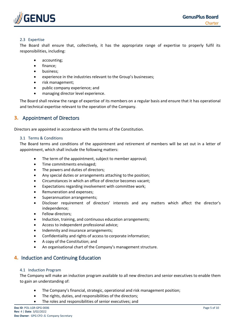

## <span id="page-4-0"></span>2.3 Expertise

The Board shall ensure that, collectively, it has the appropriate range of expertise to properly fulfil its responsibilities, including:

- accounting;
- finance;
- business;
- experience in the industries relevant to the Group's businesses;
- risk management;
- public company experience; and
- managing director level experience.

The Board shall review the range of expertise of its members on a regular basis and ensure that it has operational and technical expertise relevant to the operation of the Company.

## <span id="page-4-1"></span>**3.** Appointment of Directors

Directors are appointed in accordance with the terms of the Constitution.

## <span id="page-4-2"></span>3.1 Terms & Conditions

The Board terms and conditions of the appointment and retirement of members will be set out in a letter of appointment, which shall include the following matters:

- The term of the appointment, subject to member approval;
- Time commitments envisaged;
- The powers and duties of directors;
- Any special duties or arrangements attaching to the position;
- Circumstances in which an office of director becomes vacant;
- Expectations regarding involvement with committee work;
- Remuneration and expenses;
- Superannuation arrangements;
- Discloser requirement of directors' interests and any matters which affect the director's independence;
- Fellow directors;
- Induction, training, and continuous education arrangements;
- Access to independent professional advice;
- Indemnity and insurance arrangements;
- Confidentiality and rights of access to corporate information;
- A copy of the Constitution; and
- An organisational chart of the Company's management structure.

## <span id="page-4-3"></span>**4.** Induction and Continuing Education

#### <span id="page-4-4"></span>4.1 Induction Program

The Company will make an induction program available to all new directors and senior executives to enable them to gain an understanding of:

- The Company's financial, strategic, operational and risk management position;
- The rights, duties, and responsibilities of the directors;
- The roles and responsibilities of senior executives; and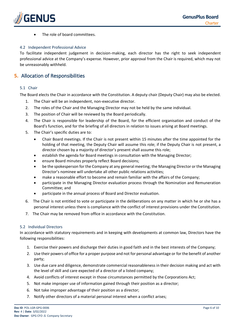

The role of board committees.

## <span id="page-5-0"></span>4.2 Independent Professional Advice

To facilitate independent judgement in decision-making, each director has the right to seek independent professional advice at the Company's expense. However, prior approval from the Chair is required, which may not be unreasonably withheld.

## <span id="page-5-1"></span>**5.** Allocation of Responsibilities

## <span id="page-5-2"></span>5.1 Chair

The Board elects the Chair in accordance with the Constitution. A deputy chair (Deputy Chair) may also be elected.

- 1. The Chair will be an independent, non-executive director.
- 2. The roles of the Chair and the Managing Director may not be held by the same individual.
- 3. The position of Chair will be reviewed by the Board periodically.
- 4. The Chair is responsible for leadership of the Board, for the efficient organisation and conduct of the Board's function, and for the briefing of all directors in relation to issues arising at Board meetings.
- 5. The Chair's specific duties are to:
	- Chair Board meetings. If the Chair is not present within 15 minutes after the time appointed for the holding of that meeting, the Deputy Chair will assume this role; if the Deputy Chair is not present, a director chosen by a majority of director's present shall assume this role;
	- establish the agenda for Board meetings in consultation with the Managing Director;
	- ensure Board minutes properly reflect Board decisions;
	- be the spokesperson for the Company at any general meeting; the Managing Director or the Managing Director's nominee will undertake all other public relations activities;
	- make a reasonable effort to become and remain familiar with the affairs of the Company;
	- participate in the Managing Director evaluation process through the Nomination and Remuneration Committee; and
	- participate in the annual process of Board and Director evaluation.
- 6. The Chair is not entitled to vote or participate in the deliberations on any matter in which he or she has a personal interest unless there is compliance with the conflict of interest provisions under the Constitution.
- 7. The Chair may be removed from office in accordance with the Constitution.

#### <span id="page-5-3"></span>5.2 Individual Directors

In accordance with statutory requirements and in keeping with developments at common law, Directors have the following responsibilities:

- 1. Exercise their powers and discharge their duties in good faith and in the best interests of the Company;
- 2. Use their powers of office for a proper purpose and not for personal advantage or for the benefit of another party;
- 3. Use due care and diligence, demonstrate commercial reasonableness in their decision making and act with the level of skill and care expected of a director of a listed company;
- 4. Avoid conflicts of interest except in those circumstances permitted by the Corporations Act;
- 5. Not make improper use of information gained through their position as a director;
- 6. Not take improper advantage of their position as a director;
- 7. Notify other directors of a material personal interest when a conflict arises;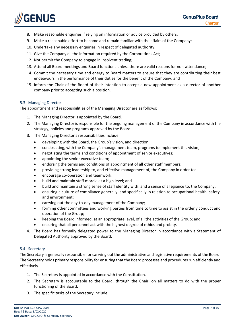

- 8. Make reasonable enquiries if relying on information or advice provided by others;
- 9. Make a reasonable effort to become and remain familiar with the affairs of the Company;
- 10. Undertake any necessary enquiries in respect of delegated authority;
- 11. Give the Company all the information required by the Corporations Act;
- 12. Not permit the Company to engage in insolvent trading;
- 13. Attend all Board meetings and Board functions unless there are valid reasons for non-attendance;
- 14. Commit the necessary time and energy to Board matters to ensure that they are contributing their best endeavours in the performance of their duties for the benefit of the Company; and
- 15. Inform the Chair of the Board of their intention to accept a new appointment as a director of another company prior to accepting such a position.

## <span id="page-6-0"></span>5.3 Managing Director

The appointment and responsibilities of the Managing Director are as follows:

- 1. The Managing Director is appointed by the Board.
- 2. The Managing Director is responsible for the ongoing management of the Company in accordance with the strategy, policies and programs approved by the Board.
- 3. The Managing Director's responsibilities include:
	- developing with the Board, the Group's vision, and direction;
	- constructing, with the Company's management team, programs to implement this vision;
	- negotiating the terms and conditions of appointment of senior executives;
	- appointing the senior executive team;
	- endorsing the terms and conditions of appointment of all other staff members;
	- providing strong leadership to, and effective management of, the Company in order to:
	- encourage co-operation and teamwork;
	- build and maintain staff morale at a high level; and
	- build and maintain a strong sense of staff identity with, and a sense of allegiance to, the Company;
	- ensuring a culture of compliance generally, and specifically in relation to occupational health, safety, and environment;
	- carrying out the day-to-day management of the Company;
	- forming other committees and working parties from time to time to assist in the orderly conduct and operation of the Group;
	- keeping the Board informed, at an appropriate level, of all the activities of the Group; and
	- ensuring that all personnel act with the highest degree of ethics and probity.
- 4. The Board has formally delegated power to the Managing Director in accordance with a Statement of Delegated Authority approved by the Board.

## <span id="page-6-1"></span>5.4 Secretary

The Secretary is generally responsible for carrying out the administrative and legislative requirements of the Board. The Secretary holds primary responsibility for ensuring that the Board processes and procedures run efficiently and effectively.

- 1. The Secretary is appointed in accordance with the Constitution.
- 2. The Secretary is accountable to the Board, through the Chair, on all matters to do with the proper functioning of the Board.
- 3. The specific tasks of the Secretary include: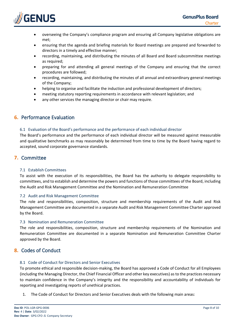

- overseeing the Company's compliance program and ensuring all Company legislative obligations are met;
- ensuring that the agenda and briefing materials for Board meetings are prepared and forwarded to directors in a timely and effective manner;
- recording, maintaining, and distributing the minutes of all Board and Board subcommittee meetings as required;
- preparing for and attending all general meetings of the Company and ensuring that the correct procedures are followed;
- recording, maintaining, and distributing the minutes of all annual and extraordinary general meetings of the Company;
- helping to organise and facilitate the induction and professional development of directors;
- meeting statutory reporting requirements in accordance with relevant legislation; and
- any other services the managing director or chair may require.

## <span id="page-7-0"></span>**6.** Performance Evaluation

## <span id="page-7-1"></span>6.1 Evaluation of the Board's performance and the performance of each individual director

The Board's performance and the performance of each individual director will be measured against measurable and qualitative benchmarks as may reasonably be determined from time to time by the Board having regard to accepted, sound corporate governance standards.

## <span id="page-7-2"></span>**7.** Committee

## <span id="page-7-3"></span>7.1 Establish Committees

To assist with the execution of its responsibilities, the Board has the authority to delegate responsibility to committees, and to establish and determine the powers and functions of those committees of the Board, including the Audit and Risk Management Committee and the Nomination and Remuneration Committee

## <span id="page-7-4"></span>7.2 Audit and Risk Management Committee

The role and responsibilities, composition, structure and membership requirements of the Audit and Risk Management Committee are documented in a separate Audit and Risk Management Committee Charter approved by the Board.

## <span id="page-7-5"></span>7.3 Nomination and Remuneration Committee

The role and responsibilities, composition, structure and membership requirements of the Nomination and Remuneration Committee are documented in a separate Nomination and Remuneration Committee Charter approved by the Board.

## <span id="page-7-6"></span>**8.** Codes of Conduct

## <span id="page-7-7"></span>8.1 Code of Conduct for Directors and Senior Executives

To promote ethical and responsible decision-making, the Board has approved a Code of Conduct for all Employees (including the Managing Director, the Chief Financial Officer and other key executives) as to the practices necessary to maintain confidence in the Company's integrity and the responsibility and accountability of individuals for reporting and investigating reports of unethical practices.

1. The Code of Conduct for Directors and Senior Executives deals with the following main areas: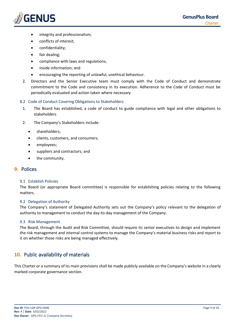

- integrity and professionalism;
- conflicts of interest;
- confidentiality;
- fair dealing;
- compliance with laws and regulations;
- inside information; and
- encouraging the reporting of unlawful, unethical behaviour.
- 2. Directors and the Senior Executive team must comply with the Code of Conduct and demonstrate commitment to the Code and consistency in its execution. Adherence to the Code of Conduct must be periodically evaluated and action taken where necessary

## <span id="page-8-0"></span>8.2 Code of Conduct Covering Obligations to Stakeholders

- 1. The Board has established, a code of conduct to guide compliance with legal and other obligations to stakeholders
- 2. The Company's Stakeholders include:
	- shareholders;
	- clients, customers, and consumers;
	- employees;
	- suppliers and contractors; and
	- the community.

## <span id="page-8-1"></span>**9.** Polices

#### <span id="page-8-2"></span>9.1 Establish Policies

The Board (or appropriate Board committee) is responsible for establishing policies relating to the following matters.

#### <span id="page-8-3"></span>9.2 Delegation of Authority

The Company's statement of Delegated Authority sets out the Company's policy relevant to the delegation of authority to management to conduct the day-to-day management of the Company.

#### <span id="page-8-4"></span>9.3 Risk Management

The Board, through the Audit and Risk Committee, should require its senior executives to design and implement the risk management and internal control systems to manage the Company's material business risks and report to it on whether those risks are being managed effectively.

## <span id="page-8-5"></span>**10.** Public availability of materials

This Charter or a summary of its main provisions shall be made publicly available on the Company's website in a clearly marked corporate governance section.